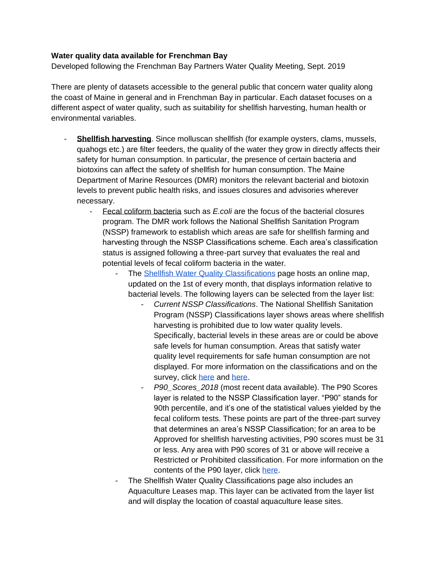## **Water quality data available for Frenchman Bay**

Developed following the Frenchman Bay Partners Water Quality Meeting, Sept. 2019

There are plenty of datasets accessible to the general public that concern water quality along the coast of Maine in general and in Frenchman Bay in particular. Each dataset focuses on a different aspect of water quality, such as suitability for shellfish harvesting, human health or environmental variables.

- **Shellfish harvesting**. Since molluscan shellfish (for example oysters, clams, mussels, quahogs etc.) are filter feeders, the quality of the water they grow in directly affects their safety for human consumption. In particular, the presence of certain bacteria and biotoxins can affect the safety of shellfish for human consumption. The Maine Department of Marine Resources (DMR) monitors the relevant bacterial and biotoxin levels to prevent public health risks, and issues closures and advisories wherever necessary.
	- Fecal coliform bacteria such as *E.coli* are the focus of the bacterial closures program. The DMR work follows the National Shellfish Sanitation Program (NSSP) framework to establish which areas are safe for shellfish farming and harvesting through the NSSP Classifications scheme. Each area's classification status is assigned following a three-part survey that evaluates the real and potential levels of fecal coliform bacteria in the water.
		- The [Shellfish Water Quality Classifications](https://www.maine.gov/dmr/shellfish-sanitation-management/maps/index.html) page hosts an online map, updated on the 1st of every month, that displays information relative to bacterial levels. The following layers can be selected from the layer list:
			- *Current NSSP Classifications*. The National Shellfish Sanitation Program (NSSP) Classifications layer shows areas where shellfish harvesting is prohibited due to low water quality levels. Specifically, bacterial levels in these areas are or could be above safe levels for human consumption. Areas that satisfy water quality level requirements for safe human consumption are not displayed. For more information on the classifications and on the survey, click [here](https://www.maine.gov/dmr/shellfish-sanitation-management/programs/growingareas/index.html) and [here.](https://www.maine.gov/dmr/shellfish-sanitation-management/programs/growingareas/howclassified.html)
			- *P90\_Scores\_2018* (most recent data available). The P90 Scores layer is related to the NSSP Classification layer. "P90" stands for 90th percentile, and it's one of the statistical values yielded by the fecal coliform tests. These points are part of the three-part survey that determines an area's NSSP Classification; for an area to be Approved for shellfish harvesting activities, P90 scores must be 31 or less. Any area with P90 scores of 31 or above will receive a Restricted or Prohibited classification. For more information on the contents of the P90 layer, click [here.](https://maine.maps.arcgis.com/home/item.html?id=2a986b1c3dc244e29a2cd22b6d160028)
		- The Shellfish Water Quality Classifications page also includes an Aquaculture Leases map. This layer can be activated from the layer list and will display the location of coastal aquaculture lease sites.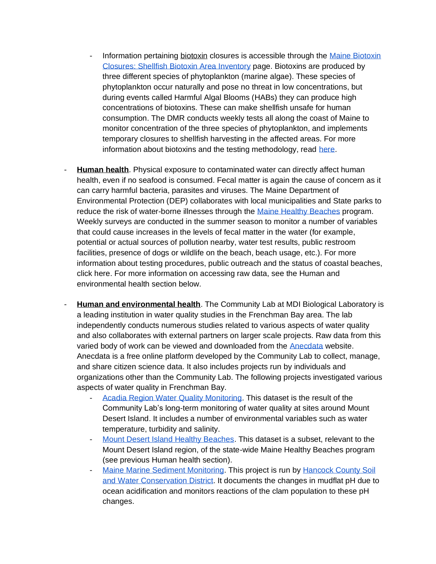- Information pertaining biotoxin closures is accessible through the Maine Biotoxin [Closures: Shellfish Biotoxin Area Inventory](https://www.maine.gov/dmr/shellfish-sanitation-management/closures/psp.html) page. Biotoxins are produced by three different species of phytoplankton (marine algae). These species of phytoplankton occur naturally and pose no threat in low concentrations, but during events called Harmful Algal Blooms (HABs) they can produce high concentrations of biotoxins. These can make shellfish unsafe for human consumption. The DMR conducts weekly tests all along the coast of Maine to monitor concentration of the three species of phytoplankton, and implements temporary closures to shellfish harvesting in the affected areas. For more information about biotoxins and the testing methodology, read [here.](https://www.maine.gov/dmr/shellfish-sanitation-management/programs/biotoxininfo.html)
- **Human health**. Physical exposure to contaminated water can directly affect human health, even if no seafood is consumed. Fecal matter is again the cause of concern as it can carry harmful bacteria, parasites and viruses. The Maine Department of Environmental Protection (DEP) collaborates with local municipalities and State parks to reduce the risk of water-borne illnesses through the [Maine Healthy Beaches](http://www.mainehealthybeaches.org/index.html) program. Weekly surveys are conducted in the summer season to monitor a number of variables that could cause increases in the levels of fecal matter in the water (for example, potential or actual sources of pollution nearby, water test results, public restroom facilities, presence of dogs or wildlife on the beach, beach usage, etc.). For more information about testing procedures, public outreach and the status of coastal beaches, click here. For more information on accessing raw data, see the Human and environmental health section below.
- **Human and environmental health**. The Community Lab at MDI Biological Laboratory is a leading institution in water quality studies in the Frenchman Bay area. The lab independently conducts numerous studies related to various aspects of water quality and also collaborates with external partners on larger scale projects. Raw data from this varied body of work can be viewed and downloaded from the [Anecdata](http://www.anecdata.org/) website. Anecdata is a free online platform developed by the Community Lab to collect, manage, and share citizen science data. It also includes projects run by individuals and organizations other than the Community Lab. The following projects investigated various aspects of water quality in Frenchman Bay.
	- [Acadia Region Water Quality Monitoring.](https://www.anecdata.org/projects/view/37/data?page=1&view=listing) This dataset is the result of the Community Lab's long-term monitoring of water quality at sites around Mount Desert Island. It includes a number of environmental variables such as water temperature, turbidity and salinity.
	- [Mount Desert Island Healthy Beaches.](https://www.anecdata.org/projects/view/250/data?page=1&view=listing) This dataset is a subset, relevant to the Mount Desert Island region, of the state-wide Maine Healthy Beaches program (see previous Human health section).
	- [Maine Marine Sediment Monitoring.](https://www.anecdata.org/projects/view/44) This project is run by Hancock County Soil [and Water Conservation District.](https://hancockcountyswcd.org/) It documents the changes in mudflat pH due to ocean acidification and monitors reactions of the clam population to these pH changes.